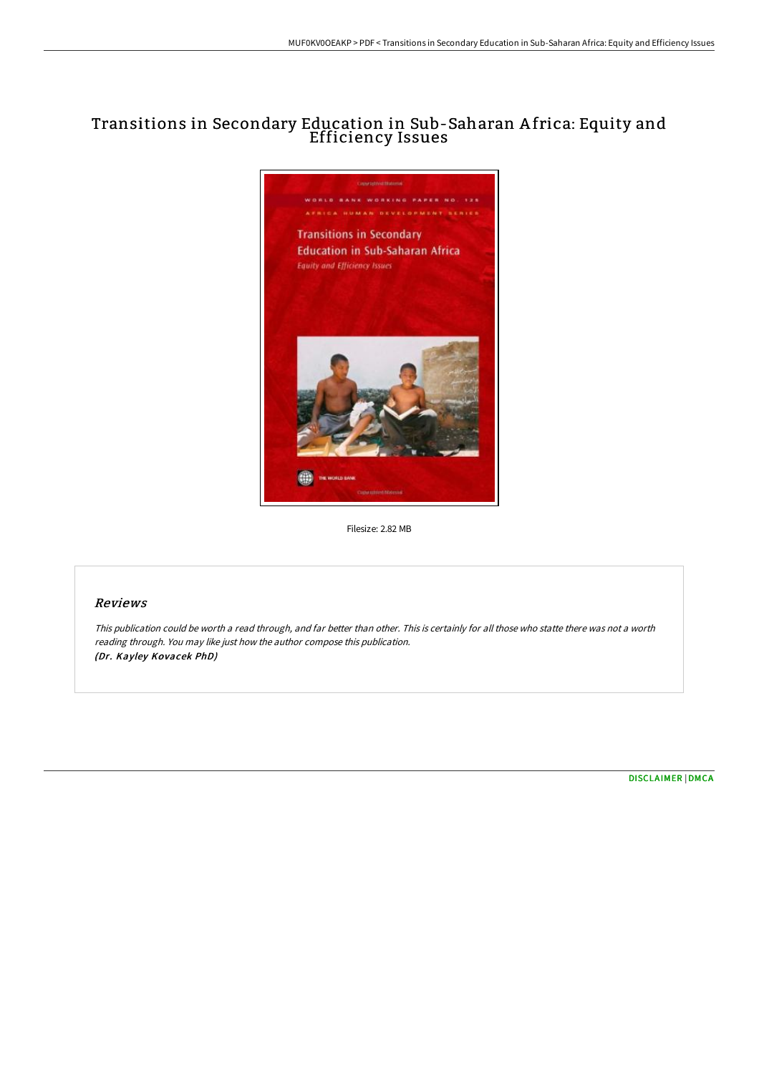# Transitions in Secondary Education in Sub-Saharan A frica: Equity and Efficiency Issues



Filesize: 2.82 MB

### Reviews

This publication could be worth <sup>a</sup> read through, and far better than other. This is certainly for all those who statte there was not <sup>a</sup> worth reading through. You may like just how the author compose this publication. (Dr. Kayley Kovacek PhD)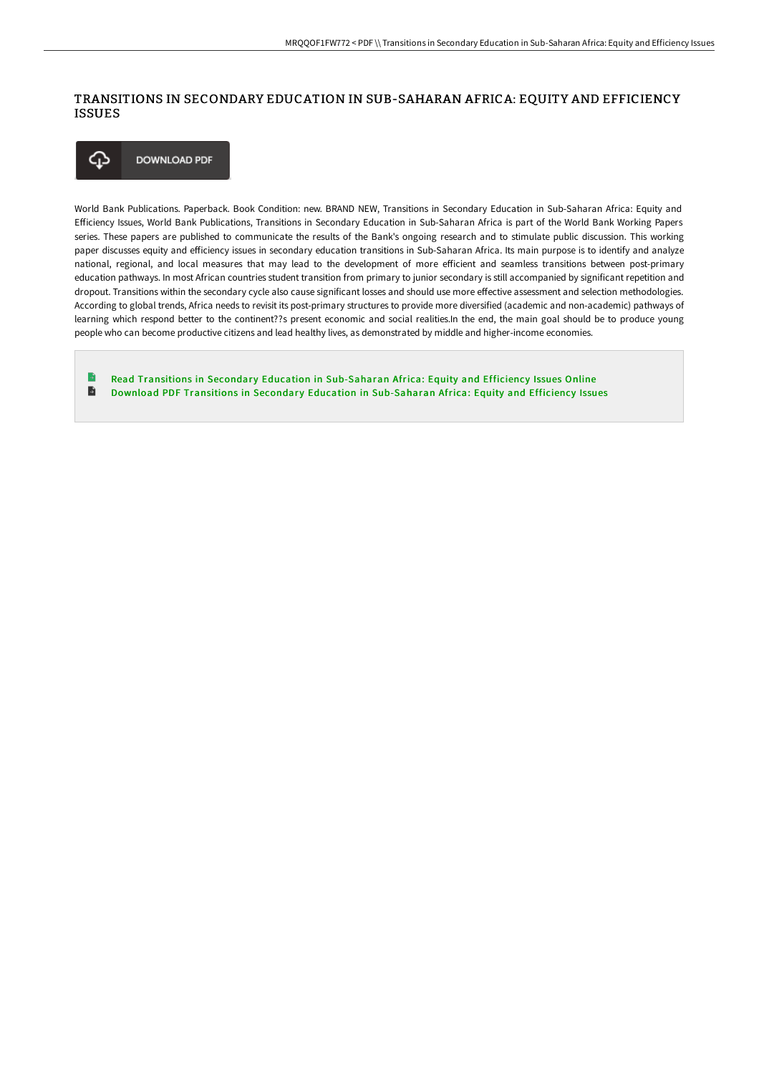# TRANSITIONS IN SECONDARY EDUCATION IN SUB-SAHARAN AFRICA: EQUITY AND EFFICIENCY ISSUES



World Bank Publications. Paperback. Book Condition: new. BRAND NEW, Transitions in Secondary Education in Sub-Saharan Africa: Equity and Efficiency Issues, World Bank Publications, Transitions in Secondary Education in Sub-Saharan Africa is part of the World Bank Working Papers series. These papers are published to communicate the results of the Bank's ongoing research and to stimulate public discussion. This working paper discusses equity and efficiency issues in secondary education transitions in Sub-Saharan Africa. Its main purpose is to identify and analyze national, regional, and local measures that may lead to the development of more efficient and seamless transitions between post-primary education pathways. In most African countries student transition from primary to junior secondary is still accompanied by significant repetition and dropout. Transitions within the secondary cycle also cause significant losses and should use more effective assessment and selection methodologies. According to global trends, Africa needs to revisit its post-primary structures to provide more diversified (academic and non-academic) pathways of learning which respond better to the continent??s present economic and social realities.In the end, the main goal should be to produce young people who can become productive citizens and lead healthy lives, as demonstrated by middle and higher-income economies.

Read Transitions in Secondary Education in [Sub-Saharan](http://albedo.media/transitions-in-secondary-education-in-sub-sahara.html) Africa: Equity and Efficiency Issues Online  $\blacksquare$ Download PDF Transitions in Secondary Education in [Sub-Saharan](http://albedo.media/transitions-in-secondary-education-in-sub-sahara.html) Africa: Equity and Efficiency Issues